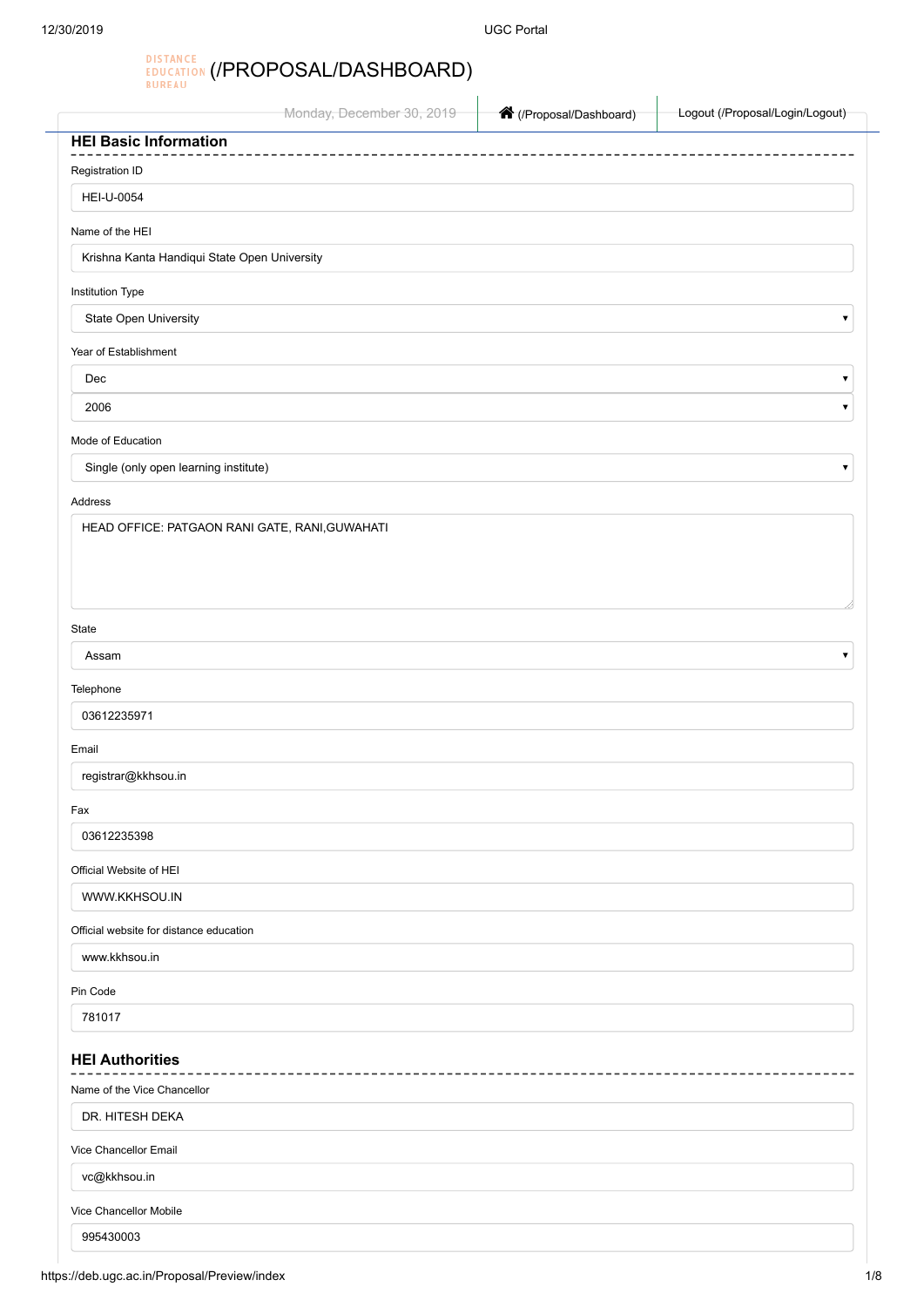--------------

# **EDUCATION [\(/PROPOSAL/DASHBOARD\)](https://deb.ugc.ac.in/Proposal/Dashboard)**

|                              | Monday, December 30, 2019 | <b>合</b> (/Proposal/Dashboard) | Logout (/Proposal/Login/Logout) |
|------------------------------|---------------------------|--------------------------------|---------------------------------|
| <b>HEI Basic Information</b> |                           |                                |                                 |
| Registration ID              |                           |                                |                                 |
| HEI-U-0054                   |                           |                                |                                 |

Name of the HEI

Krishna Kanta Handiqui State Open University

#### Institution Type

State Open University

#### Year of Establishment

Dec

2006

#### Mode of Education

Single (only open learning institute)

#### Address

HEAD OFFICE: PATGAON RANI GATE, RANI,GUWAHATI

State

#### Assam

#### Telephone

03612235971

Email

registrar@kkhsou.in

Fax

03612235398

Official Website of HEI

WWW.KKHSOU.IN

Official website for distance education

www.kkhsou.in

Pin Code

781017

#### **HEI Authorities**

Name of the Vice Chancellor

DR. HITESH DEKA

Vice Chancellor Email

vc@kkhsou.in

Vice Chancellor Mobile

995430003

 $\bar{\mathbf{v}}$ 

 $\bar{\textbf{v}}$  $\bar{\mathbf{v}}$ 

 $\overline{\mathbf{v}}$ 

 $\overline{\phantom{a}}$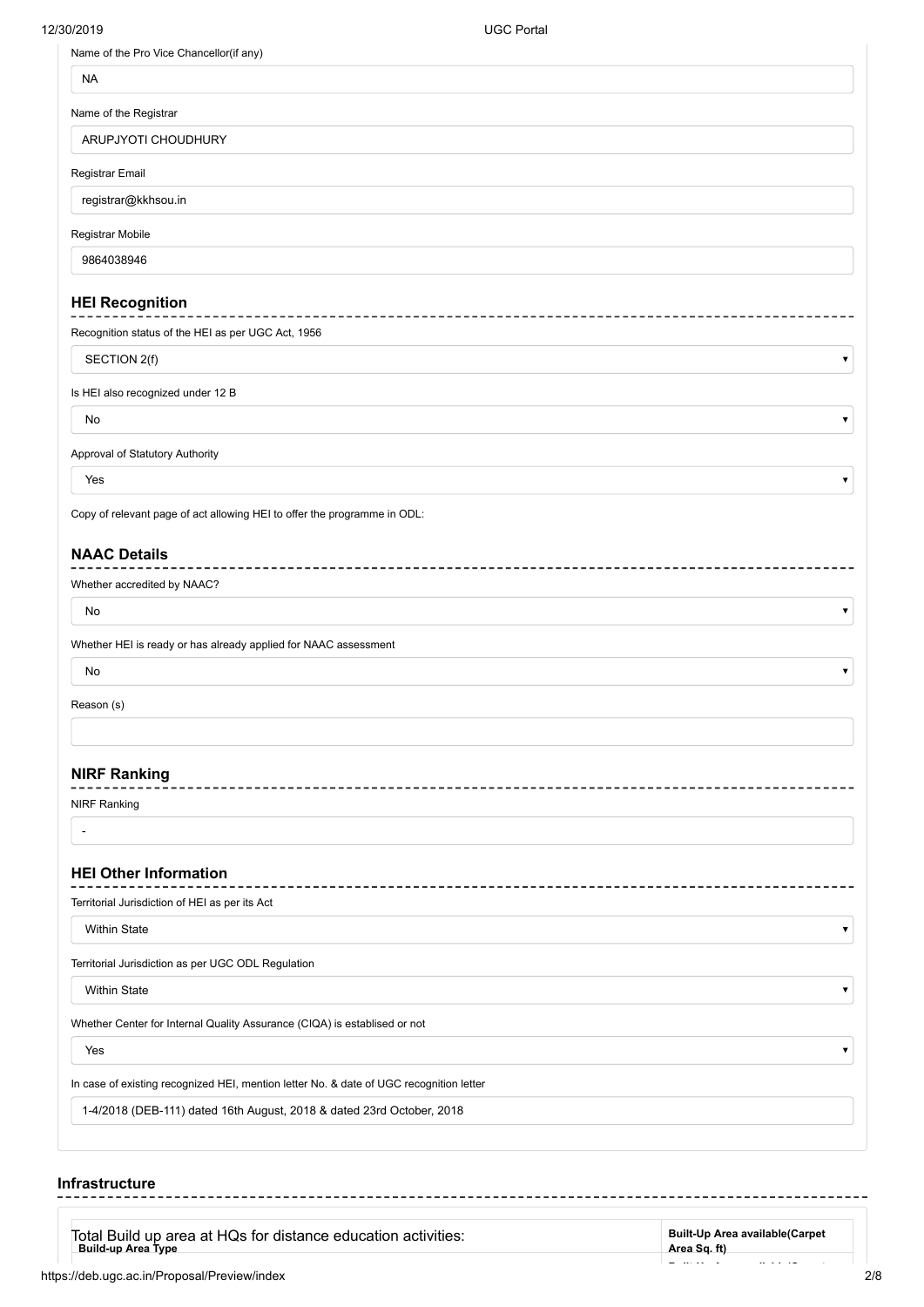| Name of the Pro Vice Chancellor(if any)                                                                                                                          |                                              |
|------------------------------------------------------------------------------------------------------------------------------------------------------------------|----------------------------------------------|
| NA                                                                                                                                                               |                                              |
| Name of the Registrar                                                                                                                                            |                                              |
| ARUPJYOTI CHOUDHURY                                                                                                                                              |                                              |
| Registrar Email                                                                                                                                                  |                                              |
| registrar@kkhsou.in                                                                                                                                              |                                              |
| Registrar Mobile                                                                                                                                                 |                                              |
| 9864038946                                                                                                                                                       |                                              |
| <b>HEI Recognition</b>                                                                                                                                           |                                              |
| Recognition status of the HEI as per UGC Act, 1956                                                                                                               |                                              |
| SECTION 2(f)                                                                                                                                                     | ▼                                            |
|                                                                                                                                                                  |                                              |
| Is HEI also recognized under 12 B                                                                                                                                |                                              |
| No                                                                                                                                                               | $\pmb{\nabla}$                               |
| Approval of Statutory Authority                                                                                                                                  |                                              |
| Yes                                                                                                                                                              | ▼                                            |
|                                                                                                                                                                  |                                              |
| <b>NAAC Details</b>                                                                                                                                              |                                              |
|                                                                                                                                                                  |                                              |
| No                                                                                                                                                               | ▼                                            |
|                                                                                                                                                                  |                                              |
| No                                                                                                                                                               | $\blacktriangledown$                         |
| Reason (s)                                                                                                                                                       |                                              |
| Whether accredited by NAAC?<br>Whether HEI is ready or has already applied for NAAC assessment                                                                   |                                              |
| <b>NIRF Ranking</b>                                                                                                                                              |                                              |
|                                                                                                                                                                  |                                              |
| <b>NIRF Ranking</b><br>$\blacksquare$                                                                                                                            |                                              |
|                                                                                                                                                                  |                                              |
|                                                                                                                                                                  |                                              |
| Territorial Jurisdiction of HEI as per its Act                                                                                                                   |                                              |
| <b>HEI Other Information</b><br><b>Within State</b>                                                                                                              | $\blacktriangledown$                         |
| Territorial Jurisdiction as per UGC ODL Regulation                                                                                                               |                                              |
| Within State                                                                                                                                                     |                                              |
|                                                                                                                                                                  |                                              |
| Whether Center for Internal Quality Assurance (CIQA) is establised or not<br>Yes                                                                                 | $\blacktriangledown$<br>$\blacktriangledown$ |
| In case of existing recognized HEI, mention letter No. & date of UGC recognition letter<br>1-4/2018 (DEB-111) dated 16th August, 2018 & dated 23rd October, 2018 |                                              |

### **Infrastructure**

| Total Build up area at HQs for distance education activities: | Built-Up Area available(Carpet |
|---------------------------------------------------------------|--------------------------------|
| <b>Build-up Area Type</b>                                     | Area Sq. ft)                   |
| .<br>$\overline{\phantom{a}}$                                 | .                              |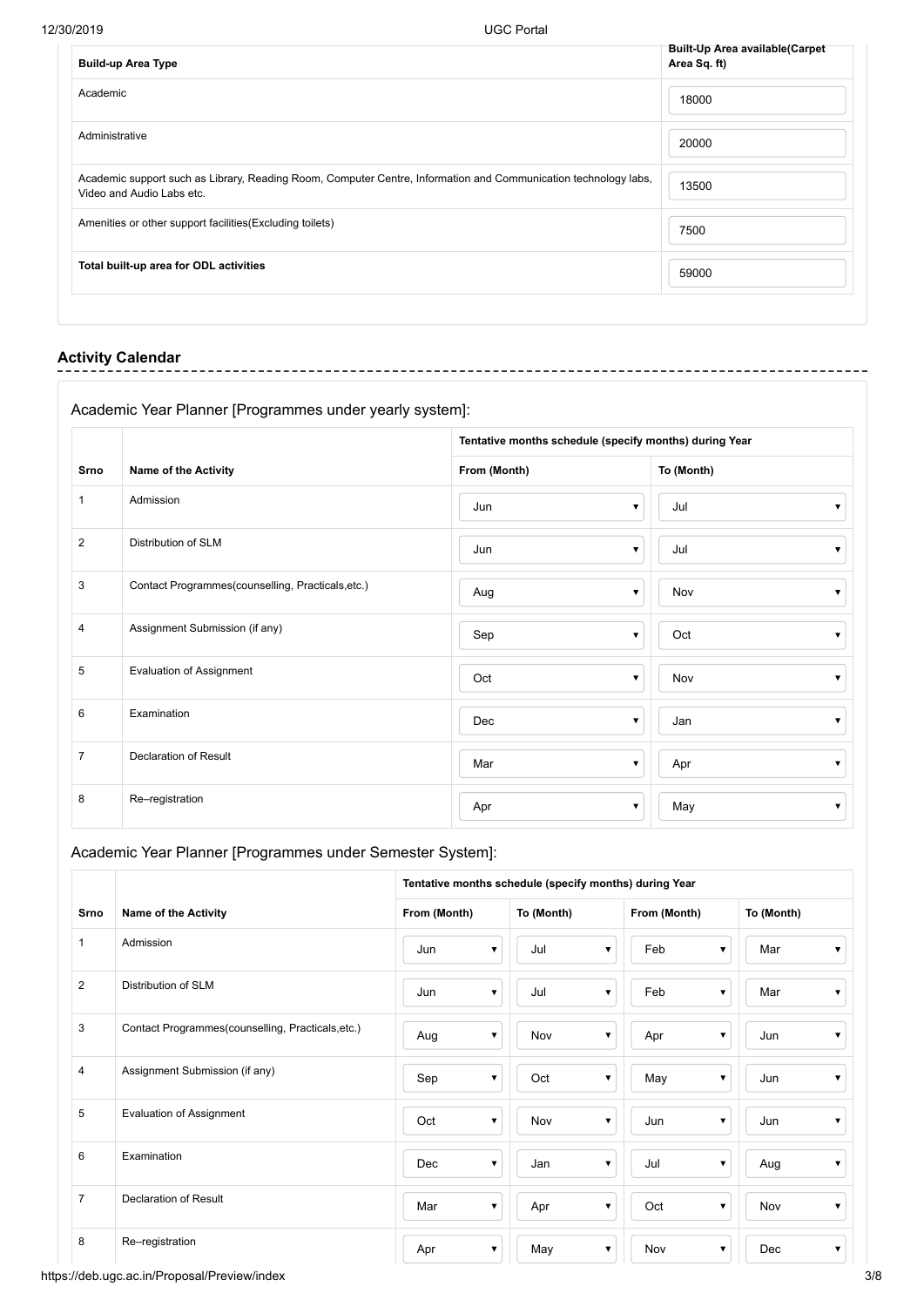| <b>Build-up Area Type</b>                                                                                                                    | <b>Built-Up Area available (Carpet</b><br>Area Sq. ft) |
|----------------------------------------------------------------------------------------------------------------------------------------------|--------------------------------------------------------|
| Academic                                                                                                                                     | 18000                                                  |
| Administrative                                                                                                                               | 20000                                                  |
| Academic support such as Library, Reading Room, Computer Centre, Information and Communication technology labs,<br>Video and Audio Labs etc. | 13500                                                  |
| Amenities or other support facilities (Excluding toilets)                                                                                    | 7500                                                   |
| Total built-up area for ODL activities                                                                                                       | 59000                                                  |

#### **Activity Calendar**

|      |                                                   | Tentative months schedule (specify months) during Year |                         |            |
|------|---------------------------------------------------|--------------------------------------------------------|-------------------------|------------|
| Srno | <b>Name of the Activity</b>                       | From (Month)                                           |                         | To (Month) |
|      | Admission                                         | Jun                                                    | $\overline{\mathbf{v}}$ | Jul        |
|      | Distribution of SLM                               | Jun                                                    | $\blacktriangledown$    | Jul        |
|      | Contact Programmes(counselling, Practicals, etc.) | Aug                                                    | 7                       | Nov        |
|      | Assignment Submission (if any)                    | Sep                                                    | $\overline{\mathbf{v}}$ | Oct        |
|      | <b>Evaluation of Assignment</b>                   | Oct                                                    | ▼                       | Nov        |
|      | Examination                                       | Dec                                                    | $\overline{\mathbf{v}}$ | Jan        |
|      | <b>Declaration of Result</b>                      | Mar                                                    | 7                       | Apr        |
|      | Re-registration                                   | Apr                                                    | $\blacktriangledown$    | May        |

### Academic Year Planner [Programmes under Semester System]:

|                |                                                   |                                | Tentative months schedule (specify months) during Year |                                |                                |
|----------------|---------------------------------------------------|--------------------------------|--------------------------------------------------------|--------------------------------|--------------------------------|
| Srno           | Name of the Activity                              | From (Month)                   | To (Month)                                             | From (Month)                   | To (Month)                     |
| $\mathbf{1}$   | Admission                                         | Jun<br>▼                       | Jul<br>$\blacktriangledown$                            | Feb<br>$\overline{\mathbf{v}}$ | Mar<br>▼                       |
| $\mathbf{2}$   | Distribution of SLM                               | Jun<br>▼                       | Jul<br>$\pmb{\mathrm{v}}$                              | Feb<br>$\blacktriangledown$    | Mar<br>$\overline{\mathbf{v}}$ |
| 3              | Contact Programmes(counselling, Practicals, etc.) | Aug<br>$\blacktriangledown$    | Nov<br>$\pmb{\nabla}$                                  | Apr<br>$\blacktriangledown$    | Jun<br>$\overline{\mathbf{v}}$ |
| 4              | Assignment Submission (if any)                    | Sep<br>$\blacktriangledown$    | Oct<br>$\pmb{\mathrm{v}}$                              | May<br>$\blacktriangledown$    | Jun<br>$\overline{\mathbf{v}}$ |
| 5              | <b>Evaluation of Assignment</b>                   | Oct<br>$\overline{\mathbf{v}}$ | Nov<br>$\overline{\mathbf{v}}$                         | Jun<br>$\pmb{\nabla}$          | Jun<br>$\overline{\mathbf{v}}$ |
| 6              | Examination                                       | Dec<br>$\overline{\mathbf{v}}$ | Jan<br>$\pmb{\mathrm{v}}$                              | Jul<br>$\blacktriangledown$    | Aug<br>$\overline{\mathbf{v}}$ |
| $\overline{7}$ | Declaration of Result                             | Mar<br>$\blacktriangledown$    | Apr<br>$\pmb{\nabla}$                                  | Oct<br>$\pmb{\nabla}$          | Nov<br>$\overline{\mathbf{v}}$ |
| 8              | Re-registration                                   | Apr<br>▼                       | May<br>$\pmb{\mathrm{v}}$                              | Nov<br>$\blacktriangledown$    | Dec<br>▼                       |

https://deb.ugc.ac.in/Proposal/Preview/index 3/8

 $- - -$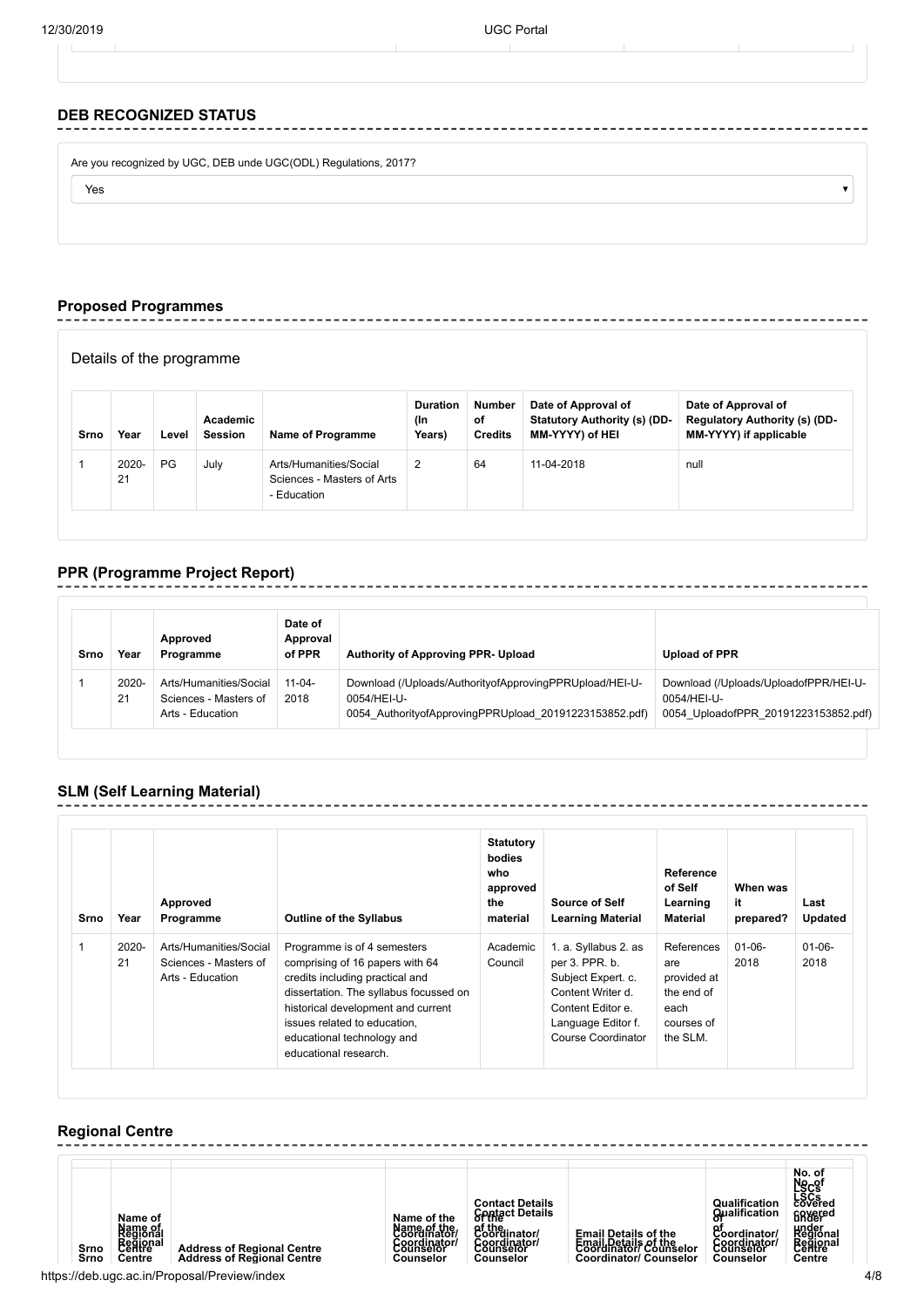#### **DEB RECOGNIZED STATUS**

Are you recognized by UGC, DEB unde UGC(ODL) Regulations, 2017?

Yes

#### **Proposed Programmes**

Details of the programme

| Srno | Year        | Level | Academic<br><b>Session</b> | Name of Programme                                                   | <b>Duration</b><br>(In<br>Years) | <b>Number</b><br>οf<br><b>Credits</b> | Date of Approval of<br><b>Statutory Authority (s) (DD-</b><br>MM-YYYY) of HEI | Date of Approval of<br>Regulatory Authority (s) (DD-<br>MM-YYYY) if applicable |
|------|-------------|-------|----------------------------|---------------------------------------------------------------------|----------------------------------|---------------------------------------|-------------------------------------------------------------------------------|--------------------------------------------------------------------------------|
|      | 2020-<br>21 | PG    | July                       | Arts/Humanities/Social<br>Sciences - Masters of Arts<br>- Education | 2                                | 64                                    | 11-04-2018                                                                    | null                                                                           |

#### **PPR (Programme Project Report)**

| Srno | Year           | Approved<br>Programme                                               | Date of<br>Approval<br>of PPR | Authority of Approving PPR- Upload                                                                                                  | <b>Upload of PPR</b>                                                                         |
|------|----------------|---------------------------------------------------------------------|-------------------------------|-------------------------------------------------------------------------------------------------------------------------------------|----------------------------------------------------------------------------------------------|
|      | $2020 -$<br>21 | Arts/Humanities/Social<br>Sciences - Masters of<br>Arts - Education | $11 - 04 -$<br>2018           | Download (/Uploads/AuthorityofApprovingPPRUpload/HEI-U-<br>0054/HEI-U-<br>0054 Authority of Approving PPRUpload 20191223153852.pdf) | Download (/Uploads/UploadofPPR/HEI-U-<br>0054/HEI-U-<br>0054 UploadofPPR 20191223153852.pdf) |

#### **SLM (Self Learning Material)**

| Srno | Year           | Approved<br>Programme                                               | <b>Outline of the Syllabus</b>                                                                                                                                                                                                                                           | <b>Statutory</b><br><b>bodies</b><br>who<br>approved<br>the<br>material | Source of Self<br><b>Learning Material</b>                                                                                                         | Reference<br>of Self<br>Learning<br><b>Material</b>                              | When was<br>it<br>prepared? | Last<br>Updated  |
|------|----------------|---------------------------------------------------------------------|--------------------------------------------------------------------------------------------------------------------------------------------------------------------------------------------------------------------------------------------------------------------------|-------------------------------------------------------------------------|----------------------------------------------------------------------------------------------------------------------------------------------------|----------------------------------------------------------------------------------|-----------------------------|------------------|
|      | $2020 -$<br>21 | Arts/Humanities/Social<br>Sciences - Masters of<br>Arts - Education | Programme is of 4 semesters<br>comprising of 16 papers with 64<br>credits including practical and<br>dissertation. The syllabus focussed on<br>historical development and current<br>issues related to education.<br>educational technology and<br>educational research. | Academic<br>Council                                                     | 1. a. Syllabus 2. as<br>per 3. PPR. b.<br>Subject Expert. c.<br>Content Writer d.<br>Content Editor e.<br>Language Editor f.<br>Course Coordinator | References<br>are<br>provided at<br>the end of<br>each<br>courses of<br>the SLM. | $01-06-$<br>2018            | $01-06-$<br>2018 |

#### **Regional Centre**



https://deb.ugc.ac.in/Proposal/Preview/index 4/8

 $\overline{\phantom{a}}$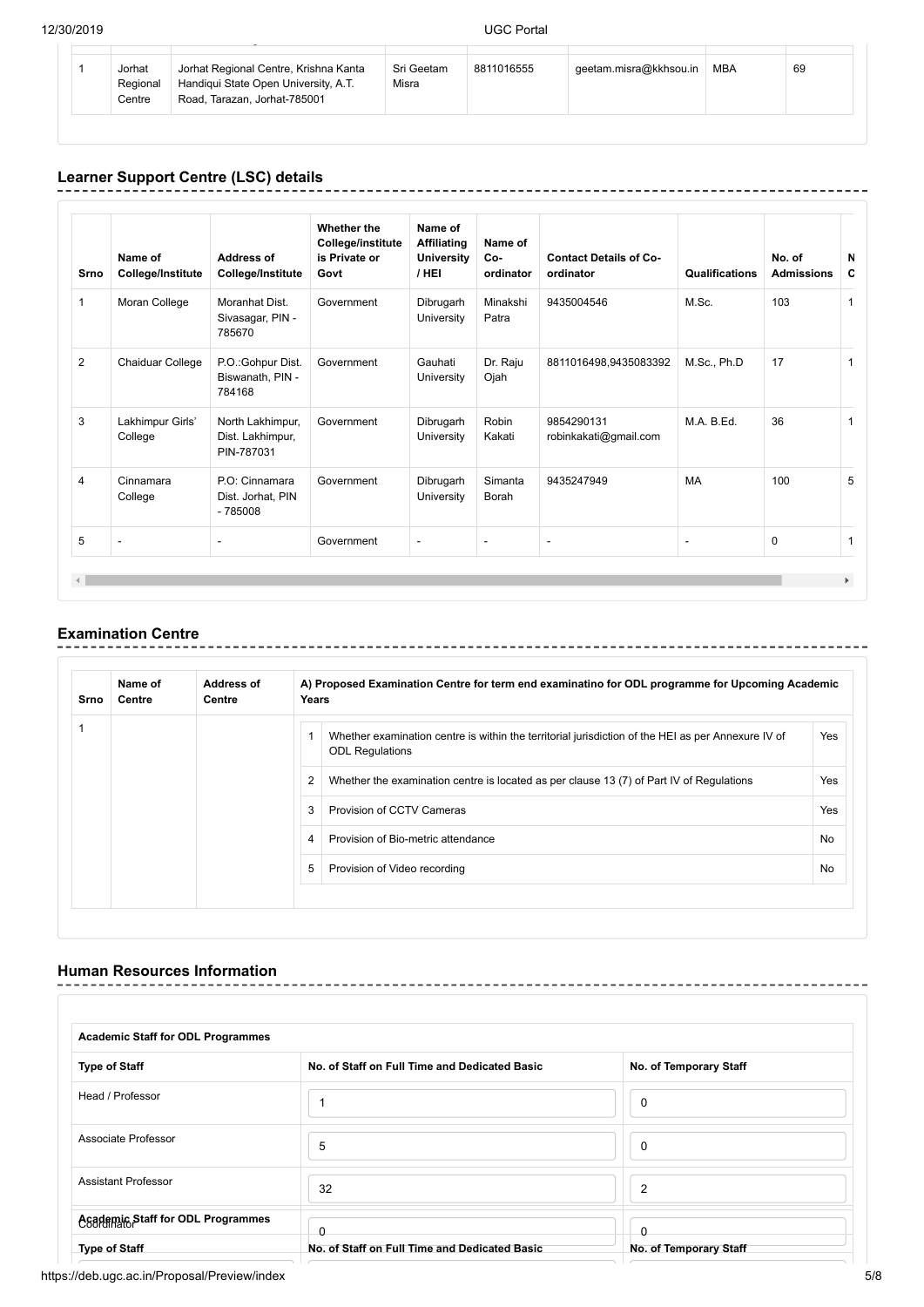| Jorhat<br>Regional<br>Centre | Jorhat Regional Centre, Krishna Kanta<br>Handiqui State Open University, A.T.<br>Road, Tarazan, Jorhat-785001 | Sri Geetam<br>Misra | 8811016555 | geetam.misra@kkhsou.in | MBA | 69 |
|------------------------------|---------------------------------------------------------------------------------------------------------------|---------------------|------------|------------------------|-----|----|

#### **Learner Support Centre (LSC) details**

| Srno         | Name of<br>College/Institute | <b>Address of</b><br>College/Institute             | Whether the<br>College/institute<br>is Private or<br>Govt | Name of<br><b>Affiliating</b><br><b>University</b><br>/ HEI | Name of<br>Co-<br>ordinator | <b>Contact Details of Co-</b><br>ordinator | <b>Qualifications</b>    | No. of<br><b>Admissions</b> | <b>N</b><br>C |
|--------------|------------------------------|----------------------------------------------------|-----------------------------------------------------------|-------------------------------------------------------------|-----------------------------|--------------------------------------------|--------------------------|-----------------------------|---------------|
| $\mathbf{1}$ | Moran College                | Moranhat Dist.<br>Sivasagar, PIN -<br>785670       | Government                                                | Dibrugarh<br>University                                     | Minakshi<br>Patra           | 9435004546                                 | M.Sc.                    | 103                         | $\mathbf{1}$  |
| 2            | Chaiduar College             | P.O.: Gohpur Dist.<br>Biswanath, PIN -<br>784168   | Government                                                | Gauhati<br>University                                       | Dr. Raju<br>Ojah            | 8811016498,9435083392                      | M.Sc., Ph.D              | 17                          | $\mathbf{1}$  |
| 3            | Lakhimpur Girls'<br>College  | North Lakhimpur,<br>Dist. Lakhimpur,<br>PIN-787031 | Government                                                | Dibrugarh<br>University                                     | Robin<br>Kakati             | 9854290131<br>robinkakati@gmail.com        | M.A. B.Ed.               | 36                          | $\mathbf{1}$  |
| 4            | Cinnamara<br>College         | P.O: Cinnamara<br>Dist. Jorhat, PIN<br>$-785008$   | Government                                                | Dibrugarh<br>University                                     | Simanta<br>Borah            | 9435247949                                 | MA                       | 100                         | 5             |
| 5            | $\overline{\phantom{a}}$     | $\overline{\phantom{a}}$                           | Government                                                | $\overline{\phantom{a}}$                                    | $\blacksquare$              | $\blacksquare$                             | $\overline{\phantom{a}}$ | $\Omega$                    | $\mathbf{1}$  |

#### **Examination Centre**

| Srno | Name of<br>Centre | <b>Address of</b><br>Centre | Years | A) Proposed Examination Centre for term end examinatino for ODL programme for Upcoming Academic                              |           |
|------|-------------------|-----------------------------|-------|------------------------------------------------------------------------------------------------------------------------------|-----------|
|      |                   |                             |       | Whether examination centre is within the territorial jurisdiction of the HEI as per Annexure IV of<br><b>ODL Regulations</b> | Yes       |
|      |                   |                             | 2     | Whether the examination centre is located as per clause 13 (7) of Part IV of Regulations                                     | Yes       |
|      |                   |                             | 3     | Provision of CCTV Cameras                                                                                                    | Yes       |
|      |                   |                             | 4     | Provision of Bio-metric attendance                                                                                           | No.       |
|      |                   |                             | 5     | Provision of Video recording                                                                                                 | <b>No</b> |
|      |                   |                             |       |                                                                                                                              |           |

### **Human Resources Information**

| <b>Academic Staff for ODL Programmes</b> |                                               |                        |  |
|------------------------------------------|-----------------------------------------------|------------------------|--|
| <b>Type of Staff</b>                     | No. of Staff on Full Time and Dedicated Basic | No. of Temporary Staff |  |
| Head / Professor                         |                                               | 0                      |  |
| Associate Professor                      | 5                                             | 0                      |  |
| <b>Assistant Professor</b>               | 32                                            | $\overline{2}$         |  |
| <b>Asademic Staff for ODL Programmes</b> | 0                                             |                        |  |
| <b>Type of Staff</b>                     | No. of Staff on Full Time and Dedicated Basic | No. of Temporary Staff |  |

https://deb.ugc.ac.in/Proposal/Preview/index 5/8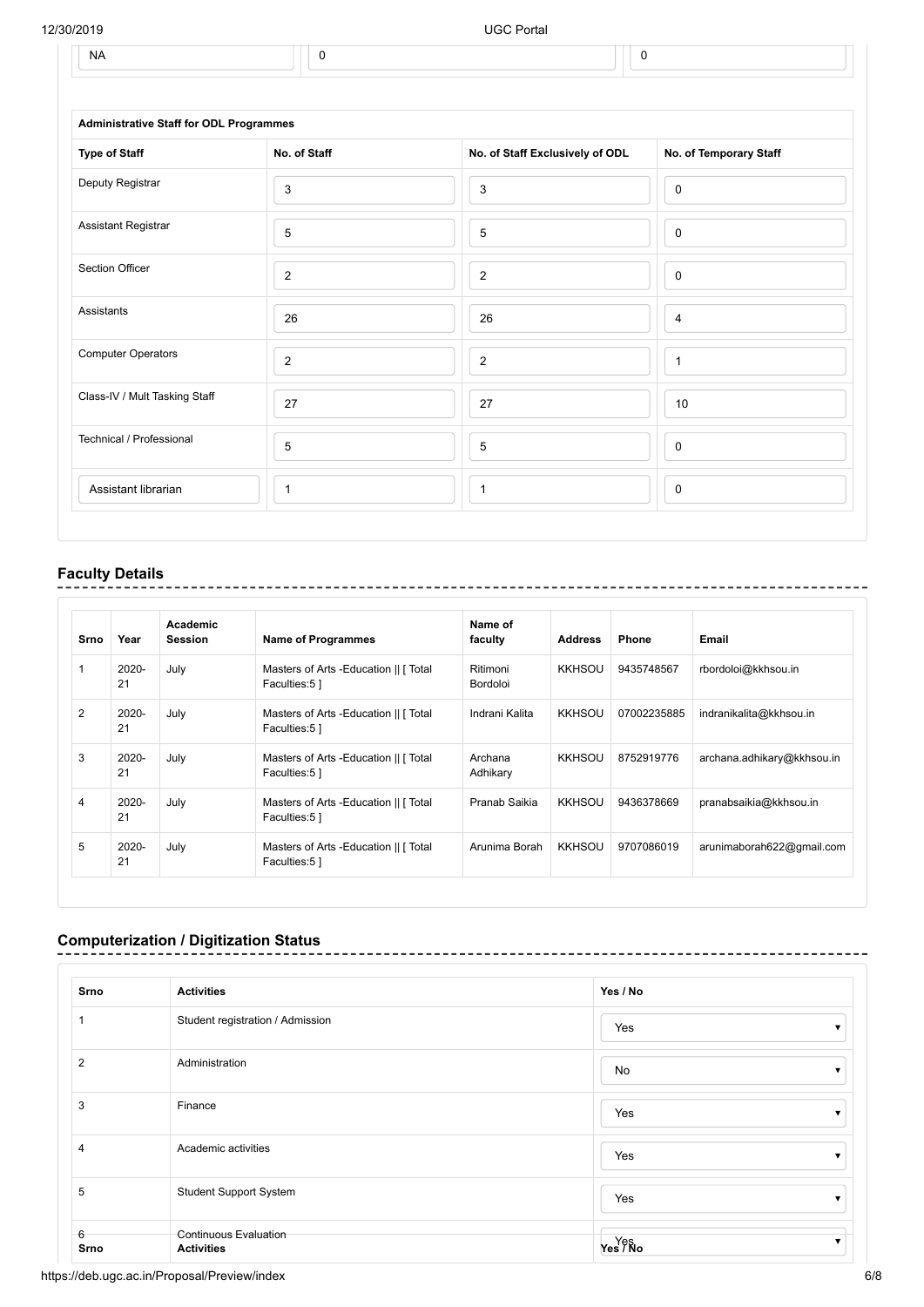#### 12/30/2019 UGC Portal

| NL<br> |  |  |  |  |
|--------|--|--|--|--|
|        |  |  |  |  |

| <b>Administrative Staff for ODL Programmes</b> |                |                                 |                        |
|------------------------------------------------|----------------|---------------------------------|------------------------|
| <b>Type of Staff</b>                           | No. of Staff   | No. of Staff Exclusively of ODL | No. of Temporary Staff |
| Deputy Registrar                               | 3              | 3                               | 0                      |
| Assistant Registrar                            | 5              | 5                               | $\mathbf 0$            |
| Section Officer                                | $\sqrt{2}$     | $\overline{\mathbf{c}}$         | $\mathbf 0$            |
| Assistants                                     | 26             | 26                              | 4                      |
| <b>Computer Operators</b>                      | $\overline{2}$ | $\overline{2}$                  | $\mathbf 1$            |
| Class-IV / Mult Tasking Staff                  | 27             | 27                              | 10                     |
| Technical / Professional                       | 5              | 5                               | 0                      |
| Assistant librarian                            | 1              | 1                               | 0                      |

## **Faculty Details**

| Srno | Year        | Academic<br><b>Session</b> | <b>Name of Programmes</b>                               | Name of<br>faculty   | <b>Address</b> | Phone       | Email                      |
|------|-------------|----------------------------|---------------------------------------------------------|----------------------|----------------|-------------|----------------------------|
|      | 2020-<br>21 | July                       | Masters of Arts - Education    [ Total<br>Faculties:51  | Ritimoni<br>Bordoloi | <b>KKHSOU</b>  | 9435748567  | rbordoloi@kkhsou.in        |
| 2    | 2020-<br>21 | July                       | Masters of Arts - Education    [ Total<br>Faculties:51  | Indrani Kalita       | <b>KKHSOU</b>  | 07002235885 | indranikalita@kkhsou.in    |
| 3    | 2020-<br>21 | July                       | Masters of Arts - Education    [ Total<br>Faculties:5 ] | Archana<br>Adhikary  | <b>KKHSOU</b>  | 8752919776  | archana.adhikary@kkhsou.in |
| 4    | 2020-<br>21 | July                       | Masters of Arts - Education II [ Total<br>Faculties:5 ] | Pranab Saikia        | <b>KKHSOU</b>  | 9436378669  | pranabsaikia@kkhsou.in     |
| 5    | 2020-<br>21 | July                       | Masters of Arts - Education    [ Total<br>Faculties:5 ] | Arunima Borah        | <b>KKHSOU</b>  | 9707086019  | arunimaborah622@gmail.com  |

 $- - -$ 

 $\overline{a}$  $- - - - -$ 

-------------------

 $\sim$   $\sim$   $\sim$ 

 $- - - - -$ 

## **Computerization / Digitization Status**

| Srno      | <b>Activities</b>                          | Yes / No |
|-----------|--------------------------------------------|----------|
|           | Student registration / Admission           | Yes      |
| 2         | Administration                             | No       |
| 3         | Finance                                    | Yes      |
| 4         | Academic activities                        | Yes      |
| 5         | Student Support System                     | Yes      |
| 6<br>Srno | Continuous Evaluation<br><b>Activities</b> | Yes PNo  |